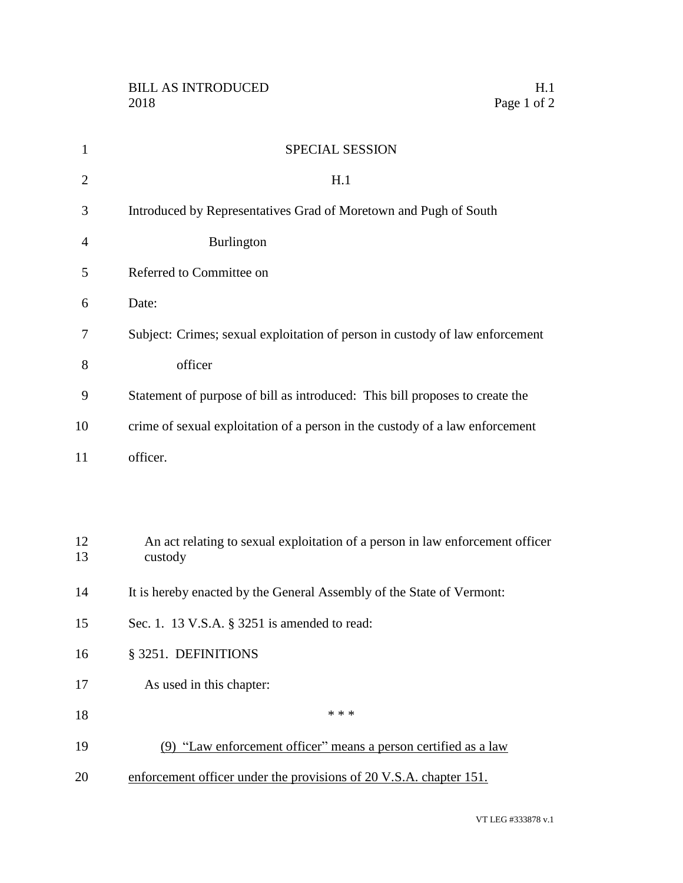| $\mathbf{1}$   | SPECIAL SESSION                                                                          |
|----------------|------------------------------------------------------------------------------------------|
| $\overline{2}$ | H.1                                                                                      |
| 3              | Introduced by Representatives Grad of Moretown and Pugh of South                         |
| $\overline{4}$ | <b>Burlington</b>                                                                        |
| 5              | Referred to Committee on                                                                 |
| 6              | Date:                                                                                    |
| 7              | Subject: Crimes; sexual exploitation of person in custody of law enforcement             |
| 8              | officer                                                                                  |
| 9              | Statement of purpose of bill as introduced: This bill proposes to create the             |
| 10             | crime of sexual exploitation of a person in the custody of a law enforcement             |
| 11             | officer.                                                                                 |
|                |                                                                                          |
|                |                                                                                          |
| 12<br>13       | An act relating to sexual exploitation of a person in law enforcement officer<br>custody |
| 14             | It is hereby enacted by the General Assembly of the State of Vermont:                    |
| 15             | Sec. 1. 13 V.S.A. § 3251 is amended to read:                                             |
| 16             | § 3251. DEFINITIONS                                                                      |
| 17             | As used in this chapter:                                                                 |
| 18             | * * *                                                                                    |
| 19             | (9) "Law enforcement officer" means a person certified as a law                          |
| 20             | enforcement officer under the provisions of 20 V.S.A. chapter 151.                       |